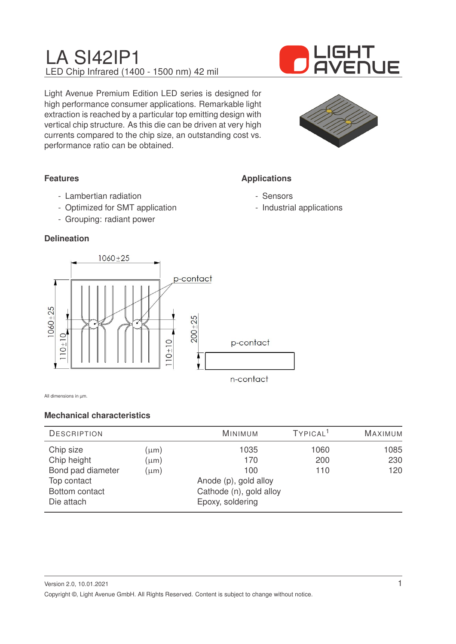

Light Avenue Premium Edition LED series is designed for high performance consumer applications. Remarkable light extraction is reached by a particular top emitting design with vertical chip structure. As this die can be driven at very high currents compared to the chip size, an outstanding cost vs. performance ratio can be obtained.



**Applications**

- Sensors

- Industrial applications

## **Features**

- Lambertian radiation
- Optimized for SMT application
- Grouping: radiant power

### **Delineation**



All dimensions in um.

### **Mechanical characteristics**

| <b>DESCRIPTION</b> |                         | <b>MINIMUM</b>        | TYPICAL <sup>1</sup> | <b>MAXIMUM</b> |
|--------------------|-------------------------|-----------------------|----------------------|----------------|
| Chip size          | (µm)                    | 1035                  | 1060                 | 1085           |
| Chip height        | $(\mu m)$               | 170                   | 200                  | 230            |
| Bond pad diameter  | $(\mu m)$               | 100                   | 110                  | 120            |
| Top contact        |                         | Anode (p), gold alloy |                      |                |
| Bottom contact     | Cathode (n), gold alloy |                       |                      |                |
| Die attach         |                         | Epoxy, soldering      |                      |                |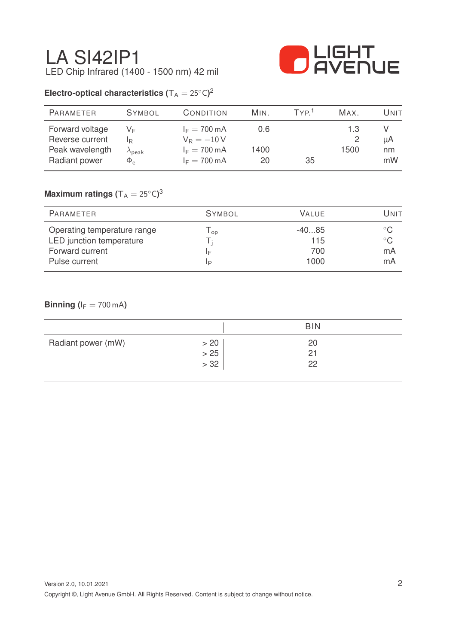

# **Electro-optical characteristics (** $T_A = 25^{\circ}C$ )<sup>2</sup>

| <b>PARAMETER</b> | <b>SYMBOL</b>        | CONDITION              | MIN. | TYP <sup>1</sup> | MAX. | Unit |
|------------------|----------------------|------------------------|------|------------------|------|------|
| Forward voltage  | VF.                  | $I_F = 700 \text{ mA}$ | 0.6  |                  | 1.3  |      |
| Reverse current  | IR.                  | $V_R = -10V$           |      |                  |      | μA   |
| Peak wavelength  | $\lambda_{\sf peak}$ | $I_F = 700 \text{ mA}$ | 1400 |                  | 1500 | nm   |
| Radiant power    | $\Phi_e$             | $I_F = 700 \text{ mA}$ | 20   | 35               |      | mW   |

# $\mathsf{Maximum}$  ratings  $(\mathsf{T_A} = 25^\circ\mathsf{C})^3$

| PARAMETER                   | <b>SYMBOL</b> | <b>VALUE</b> | UNIT         |
|-----------------------------|---------------|--------------|--------------|
| Operating temperature range | op            | $-4085$      |              |
| LED junction temperature    |               | 115          | $^{\circ}$ C |
| Forward current             | ΙF            | 700          | mA           |
| Pulse current               | IP            | 1000         | mA           |

### **Binning (** $I_F = 700$  mA)

|                    |      | <b>BIN</b> |  |
|--------------------|------|------------|--|
| Radiant power (mW) | > 20 | 20         |  |
|                    | > 25 | 21         |  |
|                    | > 32 | 22         |  |
|                    |      |            |  |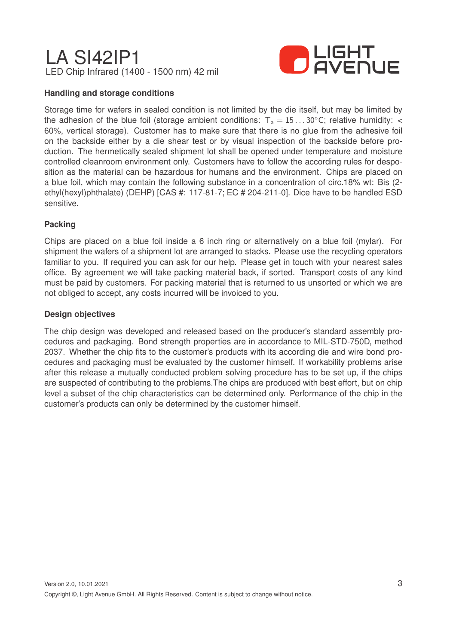

#### **Handling and storage conditions**

Storage time for wafers in sealed condition is not limited by the die itself, but may be limited by the adhesion of the blue foil (storage ambient conditions:  $T_a = 15...30^{\circ}$ C; relative humidity: < 60%, vertical storage). Customer has to make sure that there is no glue from the adhesive foil on the backside either by a die shear test or by visual inspection of the backside before production. The hermetically sealed shipment lot shall be opened under temperature and moisture controlled cleanroom environment only. Customers have to follow the according rules for desposition as the material can be hazardous for humans and the environment. Chips are placed on a blue foil, which may contain the following substance in a concentration of circ.18% wt: Bis (2 ethyl(hexyl)phthalate) (DEHP) [CAS #: 117-81-7; EC # 204-211-0]. Dice have to be handled ESD sensitive.

### **Packing**

Chips are placed on a blue foil inside a 6 inch ring or alternatively on a blue foil (mylar). For shipment the wafers of a shipment lot are arranged to stacks. Please use the recycling operators familiar to you. If required you can ask for our help. Please get in touch with your nearest sales office. By agreement we will take packing material back, if sorted. Transport costs of any kind must be paid by customers. For packing material that is returned to us unsorted or which we are not obliged to accept, any costs incurred will be invoiced to you.

#### **Design objectives**

The chip design was developed and released based on the producer's standard assembly procedures and packaging. Bond strength properties are in accordance to MIL-STD-750D, method 2037. Whether the chip fits to the customer's products with its according die and wire bond procedures and packaging must be evaluated by the customer himself. If workability problems arise after this release a mutually conducted problem solving procedure has to be set up, if the chips are suspected of contributing to the problems.The chips are produced with best effort, but on chip level a subset of the chip characteristics can be determined only. Performance of the chip in the customer's products can only be determined by the customer himself.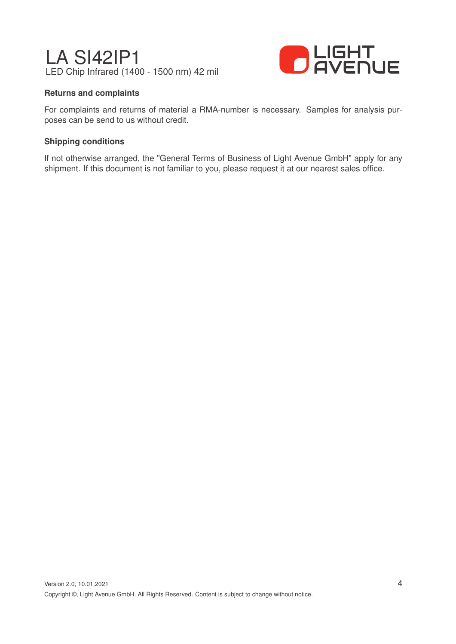

#### **Returns and complaints**

For complaints and returns of material a RMA-number is necessary. Samples for analysis purposes can be send to us without credit.

#### **Shipping conditions**

If not otherwise arranged, the "General Terms of Business of Light Avenue GmbH" apply for any shipment. If this document is not familiar to you, please request it at our nearest sales office.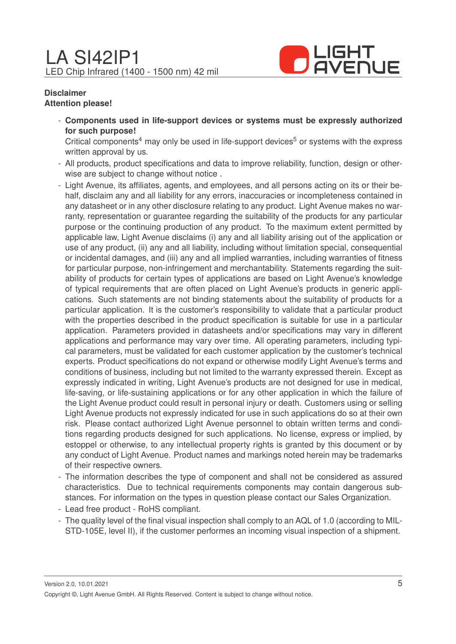

#### **Disclaimer Attention please!**

- **Components used in life-support devices or systems must be expressly authorized for such purpose!**

Critical components<sup>4</sup> may only be used in life-support devices<sup>5</sup> or systems with the express written approval by us.

- All products, product specifications and data to improve reliability, function, design or otherwise are subject to change without notice .
- Light Avenue, its affiliates, agents, and employees, and all persons acting on its or their behalf, disclaim any and all liability for any errors, inaccuracies or incompleteness contained in any datasheet or in any other disclosure relating to any product. Light Avenue makes no warranty, representation or guarantee regarding the suitability of the products for any particular purpose or the continuing production of any product. To the maximum extent permitted by applicable law, Light Avenue disclaims (i) any and all liability arising out of the application or use of any product, (ii) any and all liability, including without limitation special, consequential or incidental damages, and (iii) any and all implied warranties, including warranties of fitness for particular purpose, non-infringement and merchantability. Statements regarding the suitability of products for certain types of applications are based on Light Avenue's knowledge of typical requirements that are often placed on Light Avenue's products in generic applications. Such statements are not binding statements about the suitability of products for a particular application. It is the customer's responsibility to validate that a particular product with the properties described in the product specification is suitable for use in a particular application. Parameters provided in datasheets and/or specifications may vary in different applications and performance may vary over time. All operating parameters, including typical parameters, must be validated for each customer application by the customer's technical experts. Product specifications do not expand or otherwise modify Light Avenue's terms and conditions of business, including but not limited to the warranty expressed therein. Except as expressly indicated in writing, Light Avenue's products are not designed for use in medical, life-saving, or life-sustaining applications or for any other application in which the failure of the Light Avenue product could result in personal injury or death. Customers using or selling Light Avenue products not expressly indicated for use in such applications do so at their own risk. Please contact authorized Light Avenue personnel to obtain written terms and conditions regarding products designed for such applications. No license, express or implied, by estoppel or otherwise, to any intellectual property rights is granted by this document or by any conduct of Light Avenue. Product names and markings noted herein may be trademarks of their respective owners.
- The information describes the type of component and shall not be considered as assured characteristics. Due to technical requirements components may contain dangerous substances. For information on the types in question please contact our Sales Organization.
- Lead free product RoHS compliant.
- The quality level of the final visual inspection shall comply to an AQL of 1.0 (according to MIL-STD-105E, level II), if the customer performes an incoming visual inspection of a shipment.